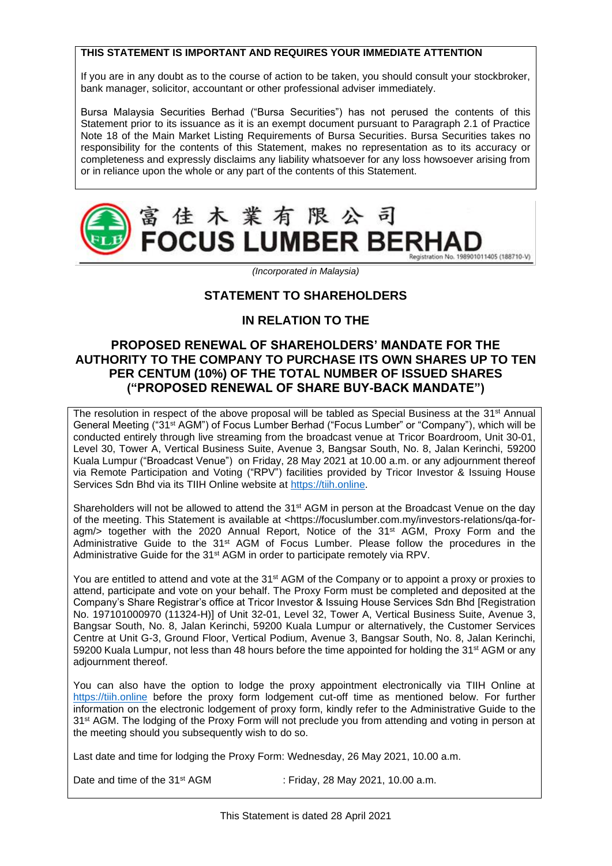# **THIS STATEMENT IS IMPORTANT AND REQUIRES YOUR IMMEDIATE ATTENTION**

If you are in any doubt as to the course of action to be taken, you should consult your stockbroker, bank manager, solicitor, accountant or other professional adviser immediately.

Bursa Malaysia Securities Berhad ("Bursa Securities") has not perused the contents of this Statement prior to its issuance as it is an exempt document pursuant to Paragraph 2.1 of Practice Note 18 of the Main Market Listing Requirements of Bursa Securities. Bursa Securities takes no responsibility for the contents of this Statement, makes no representation as to its accuracy or completeness and expressly disclaims any liability whatsoever for any loss howsoever arising from or in reliance upon the whole or any part of the contents of this Statement.



*(Incorporated in Malaysia)*

# **STATEMENT TO SHAREHOLDERS**

# **IN RELATION TO THE**

# **PROPOSED RENEWAL OF SHAREHOLDERS' MANDATE FOR THE AUTHORITY TO THE COMPANY TO PURCHASE ITS OWN SHARES UP TO TEN PER CENTUM (10%) OF THE TOTAL NUMBER OF ISSUED SHARES ("PROPOSED RENEWAL OF SHARE BUY-BACK MANDATE")**

The resolution in respect of the above proposal will be tabled as Special Business at the 31<sup>st</sup> Annual General Meeting ("31st AGM") of Focus Lumber Berhad ("Focus Lumber" or "Company"), which will be conducted entirely through live streaming from the broadcast venue at Tricor Boardroom, Unit 30-01, Level 30, Tower A, Vertical Business Suite, Avenue 3, Bangsar South, No. 8, Jalan Kerinchi, 59200 Kuala Lumpur ("Broadcast Venue") on Friday, 28 May 2021 at 10.00 a.m. or any adjournment thereof via Remote Participation and Voting ("RPV") facilities provided by Tricor Investor & Issuing House Services Sdn Bhd via its TIIH Online website at [https://tiih.online.](https://tiih.online/)

Shareholders will not be allowed to attend the 31<sup>st</sup> AGM in person at the Broadcast Venue on the day of the meeting. This Statement is available at <https://focuslumber.com.my/investors-relations/qa-foragm/> together with the 2020 Annual Report, Notice of the 31<sup>st</sup> AGM, Proxy Form and the Administrative Guide to the 31<sup>st</sup> AGM of Focus Lumber. Please follow the procedures in the Administrative Guide for the 31<sup>st</sup> AGM in order to participate remotely via RPV.

You are entitled to attend and vote at the 31<sup>st</sup> AGM of the Company or to appoint a proxy or proxies to attend, participate and vote on your behalf. The Proxy Form must be completed and deposited at the Company's Share Registrar's office at Tricor Investor & Issuing House Services Sdn Bhd [Registration No. 197101000970 (11324-H)] of Unit 32-01, Level 32, Tower A, Vertical Business Suite, Avenue 3, Bangsar South, No. 8, Jalan Kerinchi, 59200 Kuala Lumpur or alternatively, the Customer Services Centre at Unit G-3, Ground Floor, Vertical Podium, Avenue 3, Bangsar South, No. 8, Jalan Kerinchi, 59200 Kuala Lumpur, not less than 48 hours before the time appointed for holding the 31<sup>st</sup> AGM or any adjournment thereof.

You can also have the option to lodge the proxy appointment electronically via TIIH Online at [https://tiih.online](https://tiih.online/) before the proxy form lodgement cut-off time as mentioned below. For further information on the electronic lodgement of proxy form, kindly refer to the Administrative Guide to the 31st AGM. The lodging of the Proxy Form will not preclude you from attending and voting in person at the meeting should you subsequently wish to do so.

Last date and time for lodging the Proxy Form: Wednesday, 26 May 2021, 10.00 a.m.

Date and time of the 31<sup>st</sup> AGM : Friday, 28 May 2021, 10.00 a.m.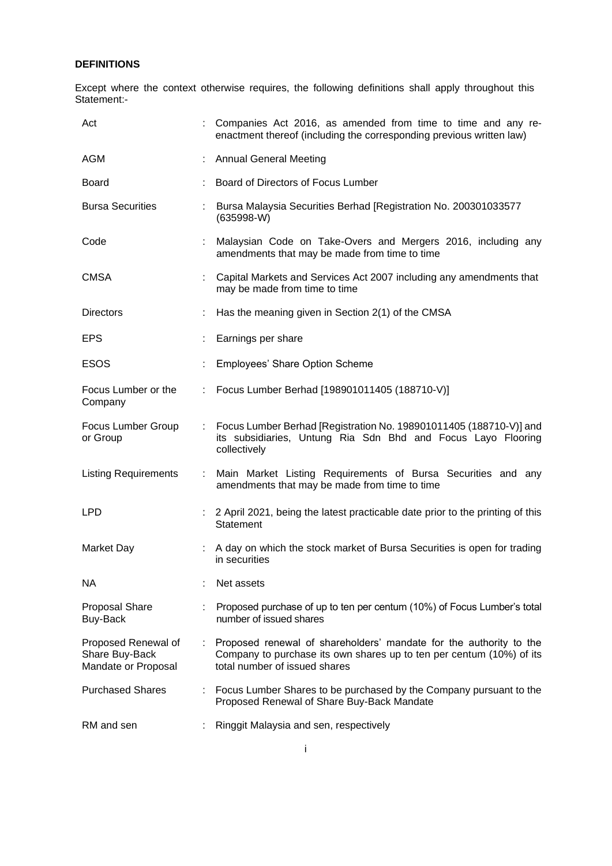# **DEFINITIONS**

Except where the context otherwise requires, the following definitions shall apply throughout this Statement:-

| Act                                                          | Companies Act 2016, as amended from time to time and any re-<br>enactment thereof (including the corresponding previous written law)                                        |
|--------------------------------------------------------------|-----------------------------------------------------------------------------------------------------------------------------------------------------------------------------|
| AGM                                                          | <b>Annual General Meeting</b>                                                                                                                                               |
| <b>Board</b>                                                 | Board of Directors of Focus Lumber                                                                                                                                          |
| <b>Bursa Securities</b>                                      | Bursa Malaysia Securities Berhad [Registration No. 200301033577<br>$(635998-W)$                                                                                             |
| Code                                                         | Malaysian Code on Take-Overs and Mergers 2016, including any<br>amendments that may be made from time to time                                                               |
| <b>CMSA</b>                                                  | Capital Markets and Services Act 2007 including any amendments that<br>may be made from time to time                                                                        |
| <b>Directors</b>                                             | Has the meaning given in Section 2(1) of the CMSA                                                                                                                           |
| <b>EPS</b>                                                   | Earnings per share                                                                                                                                                          |
| <b>ESOS</b>                                                  | <b>Employees' Share Option Scheme</b>                                                                                                                                       |
| Focus Lumber or the<br>Company                               | Focus Lumber Berhad [198901011405 (188710-V)]                                                                                                                               |
| Focus Lumber Group<br>or Group                               | Focus Lumber Berhad [Registration No. 198901011405 (188710-V)] and<br>its subsidiaries, Untung Ria Sdn Bhd and Focus Layo Flooring<br>collectively                          |
| <b>Listing Requirements</b>                                  | Main Market Listing Requirements of Bursa Securities and any<br>amendments that may be made from time to time                                                               |
| <b>LPD</b>                                                   | 2 April 2021, being the latest practicable date prior to the printing of this<br>Statement                                                                                  |
| <b>Market Day</b>                                            | A day on which the stock market of Bursa Securities is open for trading<br>in securities                                                                                    |
| NА                                                           | Net assets                                                                                                                                                                  |
| <b>Proposal Share</b><br>Buy-Back                            | Proposed purchase of up to ten per centum (10%) of Focus Lumber's total<br>number of issued shares                                                                          |
| Proposed Renewal of<br>Share Buy-Back<br>Mandate or Proposal | Proposed renewal of shareholders' mandate for the authority to the<br>Company to purchase its own shares up to ten per centum (10%) of its<br>total number of issued shares |
| <b>Purchased Shares</b>                                      | Focus Lumber Shares to be purchased by the Company pursuant to the<br>Proposed Renewal of Share Buy-Back Mandate                                                            |
| RM and sen                                                   | Ringgit Malaysia and sen, respectively                                                                                                                                      |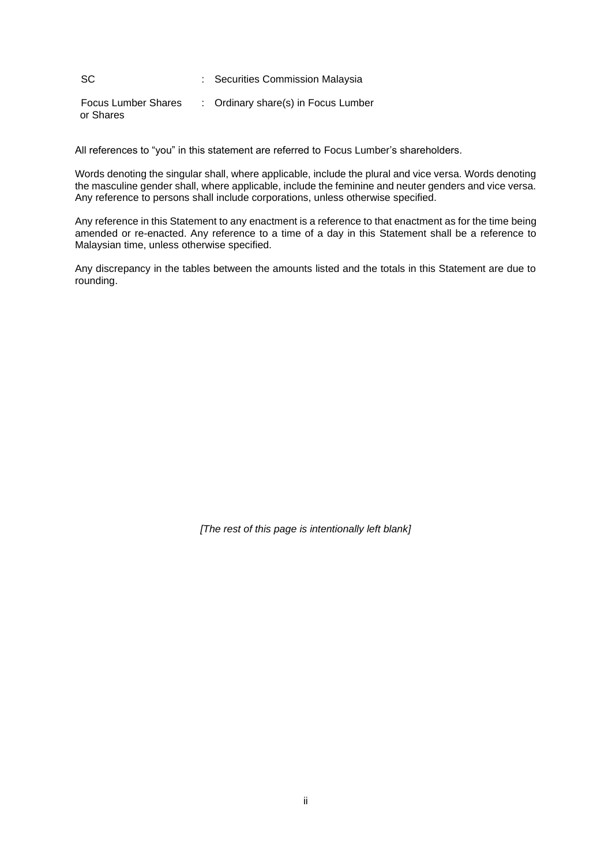SC : Securities Commission Malaysia

Focus Lumber Shares or Shares : Ordinary share(s) in Focus Lumber

All references to "you" in this statement are referred to Focus Lumber's shareholders.

Words denoting the singular shall, where applicable, include the plural and vice versa. Words denoting the masculine gender shall, where applicable, include the feminine and neuter genders and vice versa. Any reference to persons shall include corporations, unless otherwise specified.

Any reference in this Statement to any enactment is a reference to that enactment as for the time being amended or re-enacted. Any reference to a time of a day in this Statement shall be a reference to Malaysian time, unless otherwise specified.

Any discrepancy in the tables between the amounts listed and the totals in this Statement are due to rounding.

*[The rest of this page is intentionally left blank]*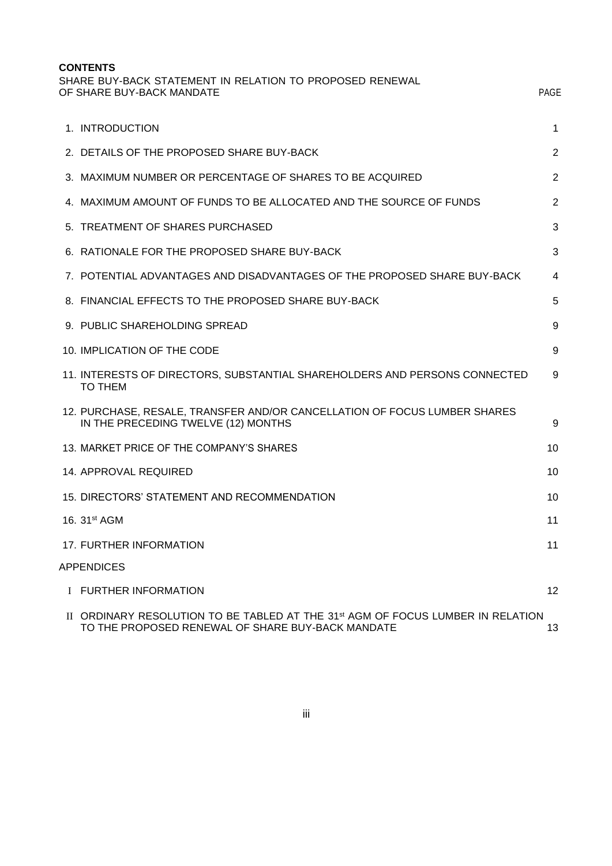| <b>CONTENTS</b><br>SHARE BUY-BACK STATEMENT IN RELATION TO PROPOSED RENEWAL<br>OF SHARE BUY-BACK MANDATE                                         | <b>PAGE</b>     |
|--------------------------------------------------------------------------------------------------------------------------------------------------|-----------------|
| 1. INTRODUCTION                                                                                                                                  | 1               |
| 2. DETAILS OF THE PROPOSED SHARE BUY-BACK                                                                                                        | 2               |
| 3. MAXIMUM NUMBER OR PERCENTAGE OF SHARES TO BE ACQUIRED                                                                                         | 2               |
| 4. MAXIMUM AMOUNT OF FUNDS TO BE ALLOCATED AND THE SOURCE OF FUNDS                                                                               | 2               |
| 5. TREATMENT OF SHARES PURCHASED                                                                                                                 | 3               |
| 6. RATIONALE FOR THE PROPOSED SHARE BUY-BACK                                                                                                     | 3               |
| 7. POTENTIAL ADVANTAGES AND DISADVANTAGES OF THE PROPOSED SHARE BUY-BACK                                                                         | 4               |
| 8. FINANCIAL EFFECTS TO THE PROPOSED SHARE BUY-BACK                                                                                              | 5               |
| 9. PUBLIC SHAREHOLDING SPREAD                                                                                                                    | 9               |
| 10. IMPLICATION OF THE CODE                                                                                                                      | 9               |
| 11. INTERESTS OF DIRECTORS, SUBSTANTIAL SHAREHOLDERS AND PERSONS CONNECTED<br><b>TO THEM</b>                                                     | 9               |
| 12. PURCHASE, RESALE, TRANSFER AND/OR CANCELLATION OF FOCUS LUMBER SHARES<br>IN THE PRECEDING TWELVE (12) MONTHS                                 | 9               |
| 13. MARKET PRICE OF THE COMPANY'S SHARES                                                                                                         | 10              |
| <b>14. APPROVAL REQUIRED</b>                                                                                                                     | 10              |
| 15. DIRECTORS' STATEMENT AND RECOMMENDATION                                                                                                      | 10              |
| 16. 31 <sup>st</sup> AGM                                                                                                                         | 11              |
| 17. FURTHER INFORMATION                                                                                                                          | 11              |
| <b>APPENDICES</b>                                                                                                                                |                 |
| I FURTHER INFORMATION                                                                                                                            | 12 <sup>2</sup> |
| II ORDINARY RESOLUTION TO BE TABLED AT THE 31 <sup>st</sup> AGM OF FOCUS LUMBER IN RELATION<br>TO THE PROPOSED RENEWAL OF SHARE BUY-BACK MANDATE | 13              |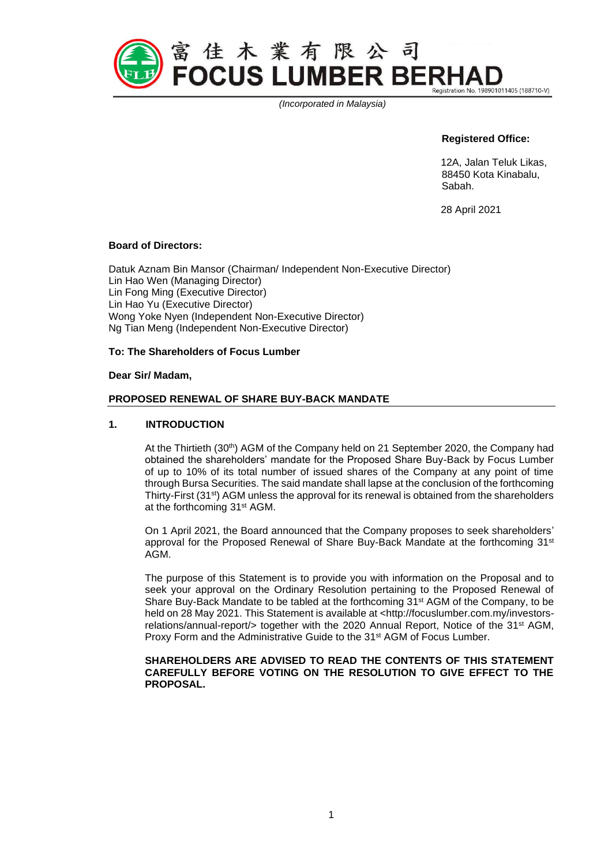

*(Incorporated in Malaysia)*

# **Registered Office:**

12A, Jalan Teluk Likas, 88450 Kota Kinabalu, Sabah.

28 April 2021

#### **Board of Directors:**

Datuk Aznam Bin Mansor (Chairman/ Independent Non-Executive Director) Lin Hao Wen (Managing Director) Lin Fong Ming (Executive Director) Lin Hao Yu (Executive Director) Wong Yoke Nyen (Independent Non-Executive Director) Ng Tian Meng (Independent Non-Executive Director)

## **To: The Shareholders of Focus Lumber**

#### **Dear Sir/ Madam,**

#### **PROPOSED RENEWAL OF SHARE BUY-BACK MANDATE**

#### **1. INTRODUCTION**

At the Thirtieth (30th) AGM of the Company held on 21 September 2020, the Company had obtained the shareholders' mandate for the Proposed Share Buy-Back by Focus Lumber of up to 10% of its total number of issued shares of the Company at any point of time through Bursa Securities. The said mandate shall lapse at the conclusion of the forthcoming Thirty-First (31<sup>st</sup>) AGM unless the approval for its renewal is obtained from the shareholders at the forthcoming 31<sup>st</sup> AGM.

On 1 April 2021, the Board announced that the Company proposes to seek shareholders' approval for the Proposed Renewal of Share Buy-Back Mandate at the forthcoming 31<sup>st</sup> AGM.

The purpose of this Statement is to provide you with information on the Proposal and to seek your approval on the Ordinary Resolution pertaining to the Proposed Renewal of Share Buy-Back Mandate to be tabled at the forthcoming 31<sup>st</sup> AGM of the Company, to be held on 28 May 2021. This Statement is available at <http://focuslumber.com.my/investorsrelations/annual-report/> together with the 2020 Annual Report, Notice of the 31<sup>st</sup> AGM, Proxy Form and the Administrative Guide to the 31<sup>st</sup> AGM of Focus Lumber.

#### **SHAREHOLDERS ARE ADVISED TO READ THE CONTENTS OF THIS STATEMENT CAREFULLY BEFORE VOTING ON THE RESOLUTION TO GIVE EFFECT TO THE PROPOSAL.**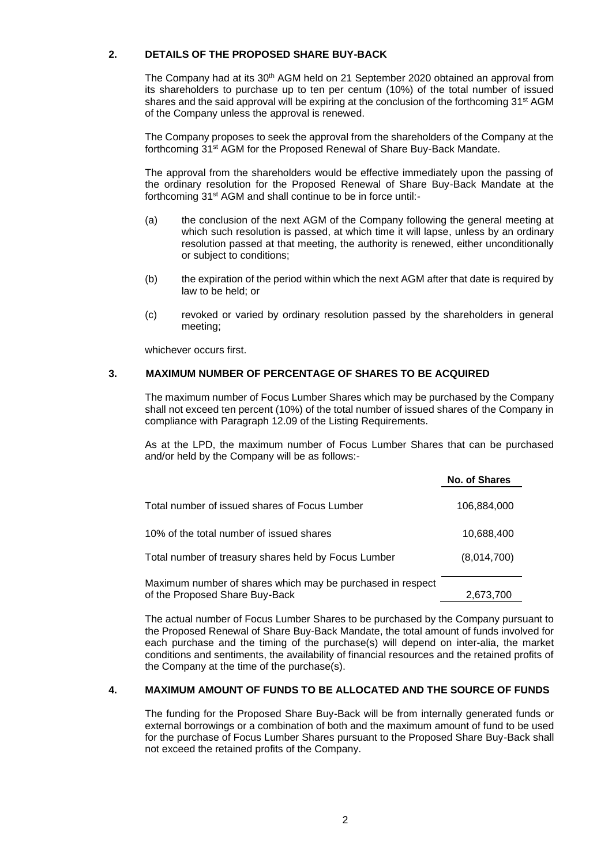## **2. DETAILS OF THE PROPOSED SHARE BUY-BACK**

The Company had at its 30th AGM held on 21 September 2020 obtained an approval from its shareholders to purchase up to ten per centum (10%) of the total number of issued shares and the said approval will be expiring at the conclusion of the forthcoming 31<sup>st</sup> AGM of the Company unless the approval is renewed.

The Company proposes to seek the approval from the shareholders of the Company at the forthcoming 31<sup>st</sup> AGM for the Proposed Renewal of Share Buy-Back Mandate.

The approval from the shareholders would be effective immediately upon the passing of the ordinary resolution for the Proposed Renewal of Share Buy-Back Mandate at the forthcoming 31<sup>st</sup> AGM and shall continue to be in force until:-

- (a) the conclusion of the next AGM of the Company following the general meeting at which such resolution is passed, at which time it will lapse, unless by an ordinary resolution passed at that meeting, the authority is renewed, either unconditionally or subject to conditions;
- (b) the expiration of the period within which the next AGM after that date is required by law to be held; or
- (c) revoked or varied by ordinary resolution passed by the shareholders in general meeting;

whichever occurs first.

# **3. MAXIMUM NUMBER OF PERCENTAGE OF SHARES TO BE ACQUIRED**

The maximum number of Focus Lumber Shares which may be purchased by the Company shall not exceed ten percent (10%) of the total number of issued shares of the Company in compliance with Paragraph 12.09 of the Listing Requirements.

As at the LPD, the maximum number of Focus Lumber Shares that can be purchased and/or held by the Company will be as follows:-

|                                                                                              | No. of Shares |
|----------------------------------------------------------------------------------------------|---------------|
| Total number of issued shares of Focus Lumber                                                | 106,884,000   |
| 10% of the total number of issued shares                                                     | 10,688,400    |
| Total number of treasury shares held by Focus Lumber                                         | (8,014,700)   |
| Maximum number of shares which may be purchased in respect<br>of the Proposed Share Buy-Back | 2,673,700     |

The actual number of Focus Lumber Shares to be purchased by the Company pursuant to the Proposed Renewal of Share Buy-Back Mandate, the total amount of funds involved for each purchase and the timing of the purchase(s) will depend on inter-alia, the market conditions and sentiments, the availability of financial resources and the retained profits of the Company at the time of the purchase(s).

#### **4. MAXIMUM AMOUNT OF FUNDS TO BE ALLOCATED AND THE SOURCE OF FUNDS**

The funding for the Proposed Share Buy-Back will be from internally generated funds or external borrowings or a combination of both and the maximum amount of fund to be used for the purchase of Focus Lumber Shares pursuant to the Proposed Share Buy-Back shall not exceed the retained profits of the Company.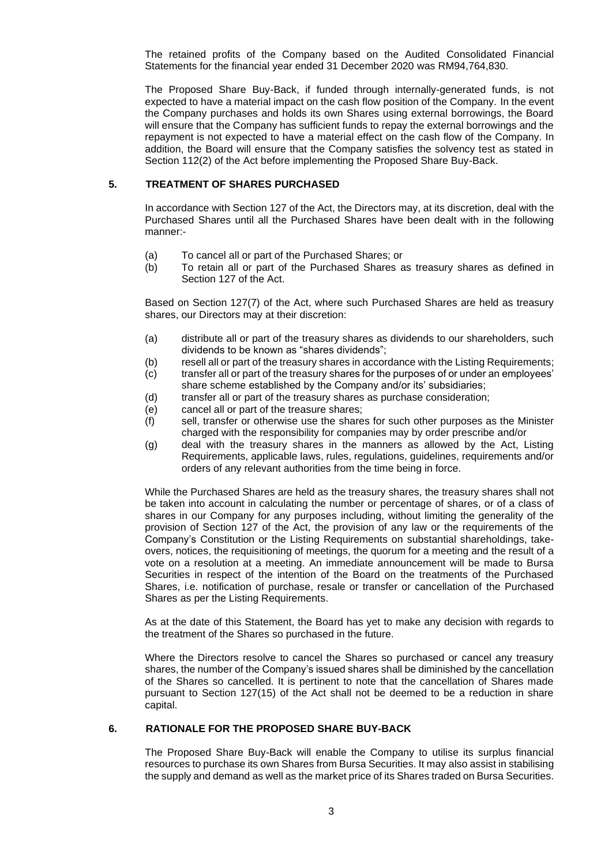The retained profits of the Company based on the Audited Consolidated Financial Statements for the financial year ended 31 December 2020 was RM94,764,830.

The Proposed Share Buy-Back, if funded through internally-generated funds, is not expected to have a material impact on the cash flow position of the Company. In the event the Company purchases and holds its own Shares using external borrowings, the Board will ensure that the Company has sufficient funds to repay the external borrowings and the repayment is not expected to have a material effect on the cash flow of the Company. In addition, the Board will ensure that the Company satisfies the solvency test as stated in Section 112(2) of the Act before implementing the Proposed Share Buy-Back.

#### **5. TREATMENT OF SHARES PURCHASED**

In accordance with Section 127 of the Act, the Directors may, at its discretion, deal with the Purchased Shares until all the Purchased Shares have been dealt with in the following manner:-

- (a) To cancel all or part of the Purchased Shares; or
- (b) To retain all or part of the Purchased Shares as treasury shares as defined in Section 127 of the Act.

Based on Section 127(7) of the Act, where such Purchased Shares are held as treasury shares, our Directors may at their discretion:

- (a) distribute all or part of the treasury shares as dividends to our shareholders, such dividends to be known as "shares dividends";
- (b) resell all or part of the treasury shares in accordance with the Listing Requirements;
- (c) transfer all or part of the treasury shares for the purposes of or under an employees' share scheme established by the Company and/or its' subsidiaries;
- (d) transfer all or part of the treasury shares as purchase consideration;
- (e) cancel all or part of the treasure shares;
- (f) sell, transfer or otherwise use the shares for such other purposes as the Minister charged with the responsibility for companies may by order prescribe and/or
- (g) deal with the treasury shares in the manners as allowed by the Act, Listing Requirements, applicable laws, rules, regulations, guidelines, requirements and/or orders of any relevant authorities from the time being in force.

While the Purchased Shares are held as the treasury shares, the treasury shares shall not be taken into account in calculating the number or percentage of shares, or of a class of shares in our Company for any purposes including, without limiting the generality of the provision of Section 127 of the Act, the provision of any law or the requirements of the Company's Constitution or the Listing Requirements on substantial shareholdings, takeovers, notices, the requisitioning of meetings, the quorum for a meeting and the result of a vote on a resolution at a meeting. An immediate announcement will be made to Bursa Securities in respect of the intention of the Board on the treatments of the Purchased Shares, i.e. notification of purchase, resale or transfer or cancellation of the Purchased Shares as per the Listing Requirements.

As at the date of this Statement, the Board has yet to make any decision with regards to the treatment of the Shares so purchased in the future.

Where the Directors resolve to cancel the Shares so purchased or cancel any treasury shares, the number of the Company's issued shares shall be diminished by the cancellation of the Shares so cancelled. It is pertinent to note that the cancellation of Shares made pursuant to Section 127(15) of the Act shall not be deemed to be a reduction in share capital.

## **6. RATIONALE FOR THE PROPOSED SHARE BUY-BACK**

The Proposed Share Buy-Back will enable the Company to utilise its surplus financial resources to purchase its own Shares from Bursa Securities. It may also assist in stabilising the supply and demand as well as the market price of its Shares traded on Bursa Securities.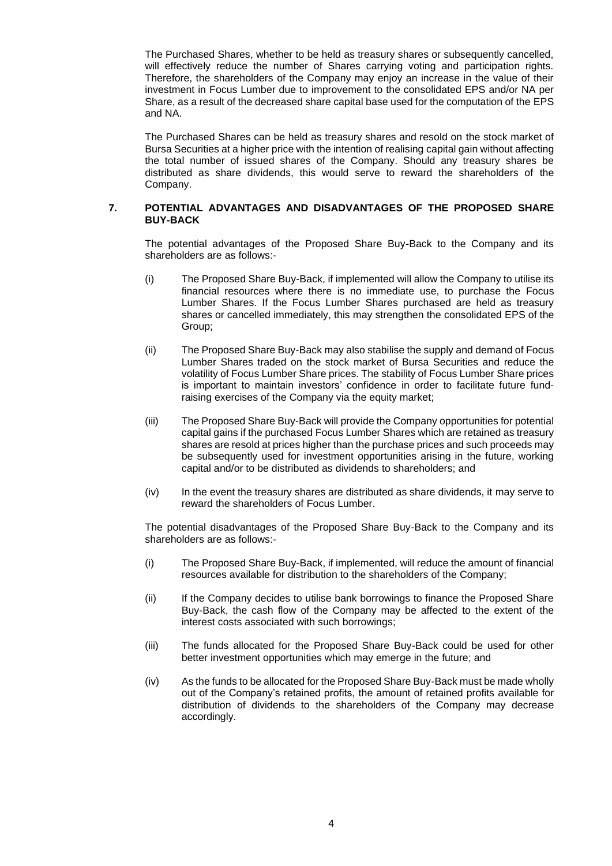The Purchased Shares, whether to be held as treasury shares or subsequently cancelled, will effectively reduce the number of Shares carrying voting and participation rights. Therefore, the shareholders of the Company may enjoy an increase in the value of their investment in Focus Lumber due to improvement to the consolidated EPS and/or NA per Share, as a result of the decreased share capital base used for the computation of the EPS and NA.

The Purchased Shares can be held as treasury shares and resold on the stock market of Bursa Securities at a higher price with the intention of realising capital gain without affecting the total number of issued shares of the Company. Should any treasury shares be distributed as share dividends, this would serve to reward the shareholders of the Company.

## **7. POTENTIAL ADVANTAGES AND DISADVANTAGES OF THE PROPOSED SHARE BUY-BACK**

The potential advantages of the Proposed Share Buy-Back to the Company and its shareholders are as follows:-

- (i) The Proposed Share Buy-Back, if implemented will allow the Company to utilise its financial resources where there is no immediate use, to purchase the Focus Lumber Shares. If the Focus Lumber Shares purchased are held as treasury shares or cancelled immediately, this may strengthen the consolidated EPS of the Group;
- (ii) The Proposed Share Buy-Back may also stabilise the supply and demand of Focus Lumber Shares traded on the stock market of Bursa Securities and reduce the volatility of Focus Lumber Share prices. The stability of Focus Lumber Share prices is important to maintain investors' confidence in order to facilitate future fundraising exercises of the Company via the equity market;
- (iii) The Proposed Share Buy-Back will provide the Company opportunities for potential capital gains if the purchased Focus Lumber Shares which are retained as treasury shares are resold at prices higher than the purchase prices and such proceeds may be subsequently used for investment opportunities arising in the future, working capital and/or to be distributed as dividends to shareholders; and
- (iv) In the event the treasury shares are distributed as share dividends, it may serve to reward the shareholders of Focus Lumber.

The potential disadvantages of the Proposed Share Buy-Back to the Company and its shareholders are as follows:-

- (i) The Proposed Share Buy-Back, if implemented, will reduce the amount of financial resources available for distribution to the shareholders of the Company;
- (ii) If the Company decides to utilise bank borrowings to finance the Proposed Share Buy-Back, the cash flow of the Company may be affected to the extent of the interest costs associated with such borrowings;
- (iii) The funds allocated for the Proposed Share Buy-Back could be used for other better investment opportunities which may emerge in the future; and
- (iv) As the funds to be allocated for the Proposed Share Buy-Back must be made wholly out of the Company's retained profits, the amount of retained profits available for distribution of dividends to the shareholders of the Company may decrease accordingly.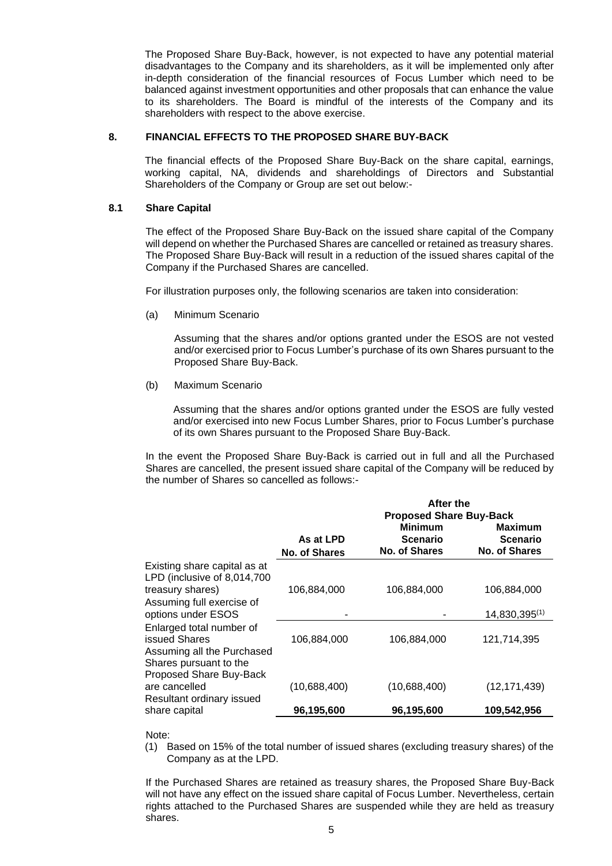The Proposed Share Buy-Back, however, is not expected to have any potential material disadvantages to the Company and its shareholders, as it will be implemented only after in-depth consideration of the financial resources of Focus Lumber which need to be balanced against investment opportunities and other proposals that can enhance the value to its shareholders. The Board is mindful of the interests of the Company and its shareholders with respect to the above exercise.

#### **8. FINANCIAL EFFECTS TO THE PROPOSED SHARE BUY-BACK**

The financial effects of the Proposed Share Buy-Back on the share capital, earnings, working capital, NA, dividends and shareholdings of Directors and Substantial Shareholders of the Company or Group are set out below:-

#### **8.1 Share Capital**

The effect of the Proposed Share Buy-Back on the issued share capital of the Company will depend on whether the Purchased Shares are cancelled or retained as treasury shares. The Proposed Share Buy-Back will result in a reduction of the issued shares capital of the Company if the Purchased Shares are cancelled.

For illustration purposes only, the following scenarios are taken into consideration:

(a) Minimum Scenario

Assuming that the shares and/or options granted under the ESOS are not vested and/or exercised prior to Focus Lumber's purchase of its own Shares pursuant to the Proposed Share Buy-Back.

(b) Maximum Scenario

Assuming that the shares and/or options granted under the ESOS are fully vested and/or exercised into new Focus Lumber Shares, prior to Focus Lumber's purchase of its own Shares pursuant to the Proposed Share Buy-Back.

In the event the Proposed Share Buy-Back is carried out in full and all the Purchased Shares are cancelled, the present issued share capital of the Company will be reduced by the number of Shares so cancelled as follows:-

|                                                                         |                                   | After the<br><b>Proposed Share Buy-Back</b>               |                                                    |
|-------------------------------------------------------------------------|-----------------------------------|-----------------------------------------------------------|----------------------------------------------------|
|                                                                         | As at LPD<br><b>No. of Shares</b> | <b>Minimum</b><br><b>Scenario</b><br><b>No. of Shares</b> | Maximum<br><b>Scenario</b><br><b>No. of Shares</b> |
| Existing share capital as at<br>LPD (inclusive of 8,014,700             |                                   |                                                           |                                                    |
| treasury shares)                                                        | 106,884,000                       | 106,884,000                                               | 106,884,000                                        |
| Assuming full exercise of<br>options under ESOS                         |                                   |                                                           | 14,830,395(1)                                      |
| Enlarged total number of<br>issued Shares<br>Assuming all the Purchased | 106,884,000                       | 106,884,000                                               | 121,714,395                                        |
| Shares pursuant to the<br>Proposed Share Buy-Back<br>are cancelled      | (10,688,400)                      | (10,688,400)                                              | (12, 171, 439)                                     |
| Resultant ordinary issued<br>share capital                              | 96,195,600                        | 96,195,600                                                | 109,542,956                                        |

#### Note:

(1) Based on 15% of the total number of issued shares (excluding treasury shares) of the Company as at the LPD.

If the Purchased Shares are retained as treasury shares, the Proposed Share Buy-Back will not have any effect on the issued share capital of Focus Lumber. Nevertheless, certain rights attached to the Purchased Shares are suspended while they are held as treasury shares.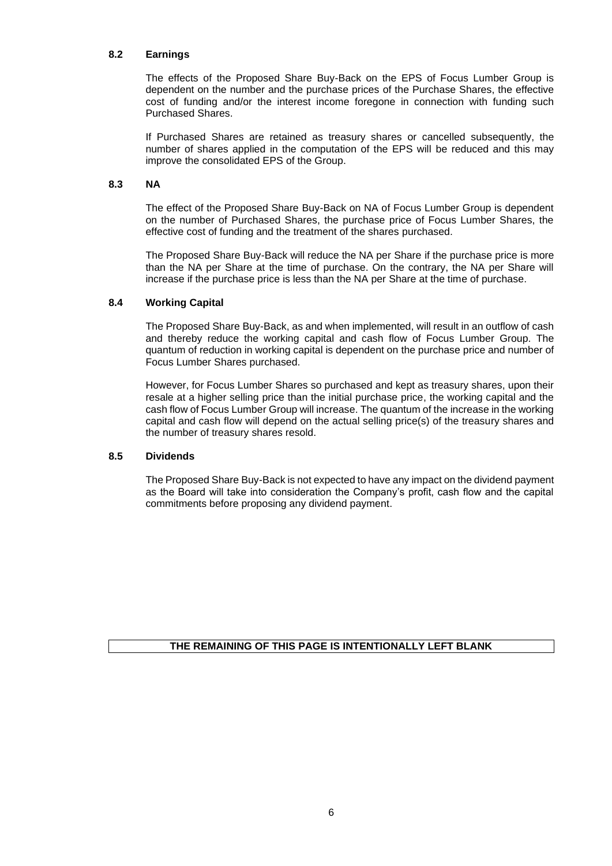# **8.2 Earnings**

The effects of the Proposed Share Buy-Back on the EPS of Focus Lumber Group is dependent on the number and the purchase prices of the Purchase Shares, the effective cost of funding and/or the interest income foregone in connection with funding such Purchased Shares.

If Purchased Shares are retained as treasury shares or cancelled subsequently, the number of shares applied in the computation of the EPS will be reduced and this may improve the consolidated EPS of the Group.

# **8.3 NA**

The effect of the Proposed Share Buy-Back on NA of Focus Lumber Group is dependent on the number of Purchased Shares, the purchase price of Focus Lumber Shares, the effective cost of funding and the treatment of the shares purchased.

The Proposed Share Buy-Back will reduce the NA per Share if the purchase price is more than the NA per Share at the time of purchase. On the contrary, the NA per Share will increase if the purchase price is less than the NA per Share at the time of purchase.

## **8.4 Working Capital**

The Proposed Share Buy-Back, as and when implemented, will result in an outflow of cash and thereby reduce the working capital and cash flow of Focus Lumber Group. The quantum of reduction in working capital is dependent on the purchase price and number of Focus Lumber Shares purchased.

However, for Focus Lumber Shares so purchased and kept as treasury shares, upon their resale at a higher selling price than the initial purchase price, the working capital and the cash flow of Focus Lumber Group will increase. The quantum of the increase in the working capital and cash flow will depend on the actual selling price(s) of the treasury shares and the number of treasury shares resold.

## **8.5 Dividends**

The Proposed Share Buy-Back is not expected to have any impact on the dividend payment as the Board will take into consideration the Company's profit, cash flow and the capital commitments before proposing any dividend payment.

**THE REMAINING OF THIS PAGE IS INTENTIONALLY LEFT BLANK**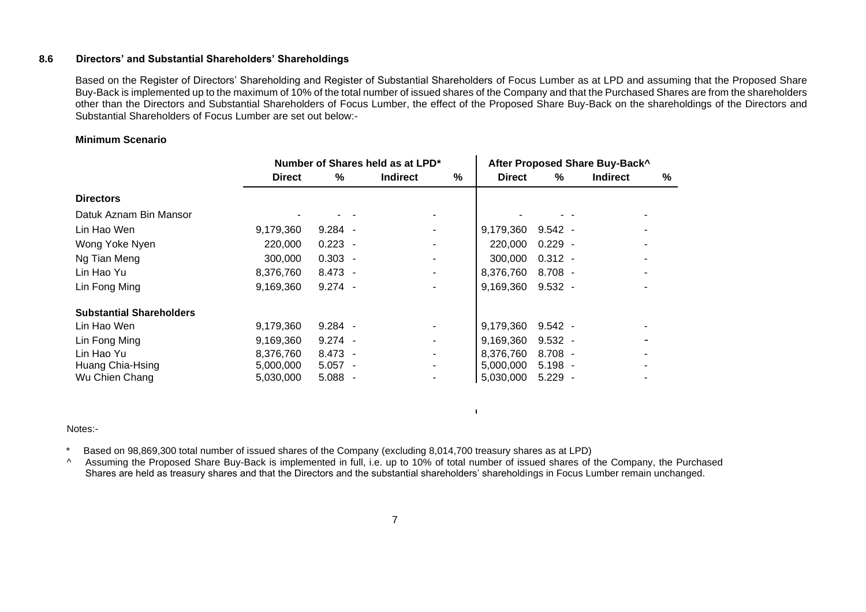#### **8.6 Directors' and Substantial Shareholders' Shareholdings**

Based on the Register of Directors' Shareholding and Register of Substantial Shareholders of Focus Lumber as at LPD and assuming that the Proposed Share Buy-Back is implemented up to the maximum of 10% of the total number of issued shares of the Company and that the Purchased Shares are from the shareholders other than the Directors and Substantial Shareholders of Focus Lumber, the effect of the Proposed Share Buy-Back on the shareholdings of the Directors and Substantial Shareholders of Focus Lumber are set out below:-

#### **Minimum Scenario**

|                                 | Number of Shares held as at LPD* |           |  |                 |   | After Proposed Share Buy-Back^ |           |  |                 |   |
|---------------------------------|----------------------------------|-----------|--|-----------------|---|--------------------------------|-----------|--|-----------------|---|
|                                 | <b>Direct</b>                    | %         |  | <b>Indirect</b> | % | <b>Direct</b>                  | %         |  | <b>Indirect</b> | % |
| <b>Directors</b>                |                                  |           |  |                 |   |                                |           |  |                 |   |
| Datuk Aznam Bin Mansor          |                                  |           |  |                 |   |                                |           |  |                 |   |
| Lin Hao Wen                     | 9,179,360                        | $9.284 -$ |  |                 |   | 9,179,360                      | $9.542 -$ |  |                 |   |
| Wong Yoke Nyen                  | 220,000                          | $0.223 -$ |  |                 |   | 220,000                        | $0.229 -$ |  |                 |   |
| Ng Tian Meng                    | 300,000                          | $0.303 -$ |  |                 |   | 300,000                        | $0.312 -$ |  |                 |   |
| Lin Hao Yu                      | 8,376,760                        | $8.473 -$ |  |                 |   | 8,376,760                      | $8.708 -$ |  |                 |   |
| Lin Fong Ming                   | 9,169,360                        | $9.274 -$ |  |                 |   | 9,169,360                      | $9.532 -$ |  |                 |   |
| <b>Substantial Shareholders</b> |                                  |           |  |                 |   |                                |           |  |                 |   |
| Lin Hao Wen                     | 9,179,360                        | $9.284 -$ |  |                 |   | 9,179,360                      | $9.542 -$ |  |                 |   |
| Lin Fong Ming                   | 9,169,360                        | $9.274 -$ |  |                 |   | 9,169,360                      | $9.532 -$ |  |                 |   |
| Lin Hao Yu                      | 8,376,760                        | 8.473     |  |                 |   | 8,376,760                      | $8.708 -$ |  |                 |   |
| Huang Chia-Hsing                | 5,000,000                        | $5.057 -$ |  |                 |   | 5.000.000                      | $5.198 -$ |  |                 |   |
| Wu Chien Chang                  | 5,030,000                        | 5.088     |  |                 |   | 5,030,000                      | $5.229 -$ |  |                 |   |

Notes:-

Based on 98,869,300 total number of issued shares of the Company (excluding 8,014,700 treasury shares as at LPD)

^ Assuming the Proposed Share Buy-Back is implemented in full, i.e. up to 10% of total number of issued shares of the Company, the Purchased Shares are held as treasury shares and that the Directors and the substantial shareholders' shareholdings in Focus Lumber remain unchanged.

 $\mathbf{L}$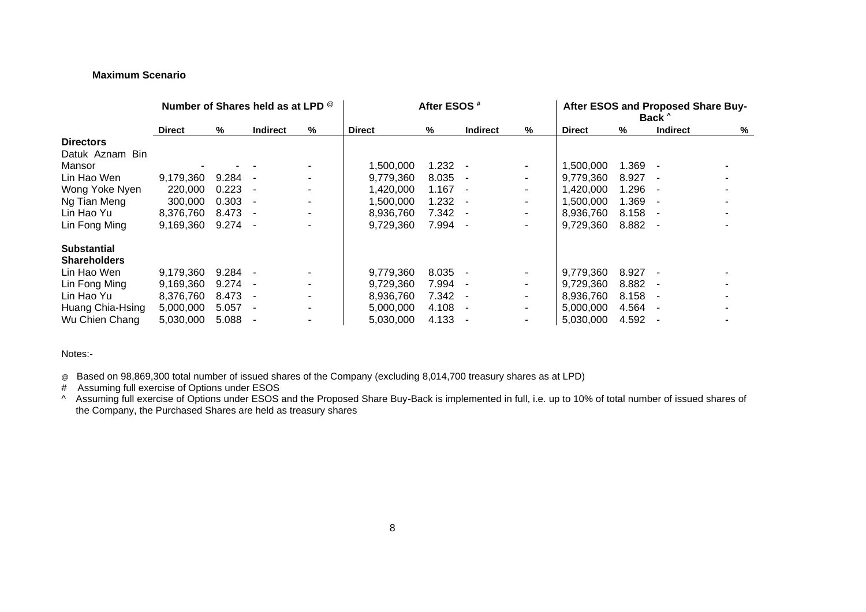# **Maximum Scenario**

|                     | Number of Shares held as at LPD ® |       |                 | After ESOS <sup>#</sup> |               |       |                 | After ESOS and Proposed Share Buy-<br>Back <sup>^</sup> |               |       |                 |   |
|---------------------|-----------------------------------|-------|-----------------|-------------------------|---------------|-------|-----------------|---------------------------------------------------------|---------------|-------|-----------------|---|
|                     | <b>Direct</b>                     | %     | <b>Indirect</b> | %                       | <b>Direct</b> | %     | <b>Indirect</b> | %                                                       | <b>Direct</b> | %     | <b>Indirect</b> | % |
| <b>Directors</b>    |                                   |       |                 |                         |               |       |                 |                                                         |               |       |                 |   |
| Datuk Aznam Bin     |                                   |       |                 |                         |               |       |                 |                                                         |               |       |                 |   |
| Mansor              |                                   |       |                 |                         | 1,500,000     | 1.232 |                 | $\overline{\phantom{a}}$                                | 1,500,000     | 1.369 |                 |   |
| Lin Hao Wen         | 9,179,360                         | 9.284 |                 |                         | 9,779,360     | 8.035 |                 | ۰                                                       | 9,779,360     | 8.927 |                 |   |
| Wong Yoke Nyen      | 220,000                           | 0.223 |                 |                         | 1,420,000     | 1.167 |                 |                                                         | 1,420,000     | 1.296 |                 |   |
| Ng Tian Meng        | 300,000                           | 0.303 |                 |                         | 1.500.000     | 1.232 |                 |                                                         | 1.500.000     | 1.369 |                 |   |
| Lin Hao Yu          | 8,376,760                         | 8.473 |                 |                         | 8,936,760     | 7.342 |                 | $\overline{\phantom{a}}$                                | 8,936,760     | 8.158 |                 |   |
| Lin Fong Ming       | 9,169,360                         | 9.274 |                 |                         | 9,729,360     | 7.994 |                 | ۰                                                       | 9,729,360     | 8.882 |                 |   |
| <b>Substantial</b>  |                                   |       |                 |                         |               |       |                 |                                                         |               |       |                 |   |
| <b>Shareholders</b> |                                   |       |                 |                         |               |       |                 |                                                         |               |       |                 |   |
| Lin Hao Wen         | 9.179.360                         | 9.284 |                 |                         | 9,779,360     | 8.035 |                 |                                                         | 9.779.360     | 8.927 |                 |   |
| Lin Fong Ming       | 9,169,360                         | 9.274 |                 |                         | 9,729,360     | 7.994 |                 |                                                         | 9,729,360     | 8.882 |                 |   |
| Lin Hao Yu          | 8,376,760                         | 8.473 |                 |                         | 8,936,760     | 7.342 |                 | $\overline{\phantom{a}}$                                | 8.936.760     | 8.158 |                 |   |
| Huang Chia-Hsing    | 5,000,000                         | 5.057 |                 |                         | 5,000,000     | 4.108 |                 | ۰                                                       | 5.000.000     | 4.564 |                 |   |
| Wu Chien Chang      | 5,030,000                         | 5.088 |                 |                         | 5,030,000     | 4.133 |                 | ۰                                                       | 5,030,000     | 4.592 |                 |   |

Notes:-

@ Based on 98,869,300 total number of issued shares of the Company (excluding 8,014,700 treasury shares as at LPD)

# Assuming full exercise of Options under ESOS

^ Assuming full exercise of Options under ESOS and the Proposed Share Buy-Back is implemented in full, i.e. up to 10% of total number of issued shares of the Company, the Purchased Shares are held as treasury shares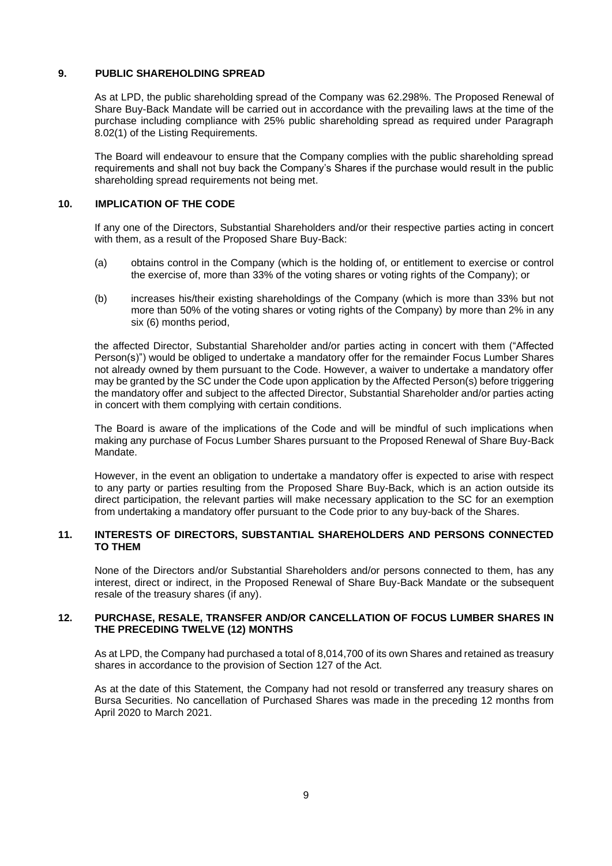# **9. PUBLIC SHAREHOLDING SPREAD**

As at LPD, the public shareholding spread of the Company was 62.298%. The Proposed Renewal of Share Buy-Back Mandate will be carried out in accordance with the prevailing laws at the time of the purchase including compliance with 25% public shareholding spread as required under Paragraph 8.02(1) of the Listing Requirements.

The Board will endeavour to ensure that the Company complies with the public shareholding spread requirements and shall not buy back the Company's Shares if the purchase would result in the public shareholding spread requirements not being met.

#### **10. IMPLICATION OF THE CODE**

If any one of the Directors, Substantial Shareholders and/or their respective parties acting in concert with them, as a result of the Proposed Share Buy-Back:

- (a) obtains control in the Company (which is the holding of, or entitlement to exercise or control the exercise of, more than 33% of the voting shares or voting rights of the Company); or
- (b) increases his/their existing shareholdings of the Company (which is more than 33% but not more than 50% of the voting shares or voting rights of the Company) by more than 2% in any six (6) months period,

the affected Director, Substantial Shareholder and/or parties acting in concert with them ("Affected Person(s)") would be obliged to undertake a mandatory offer for the remainder Focus Lumber Shares not already owned by them pursuant to the Code. However, a waiver to undertake a mandatory offer may be granted by the SC under the Code upon application by the Affected Person(s) before triggering the mandatory offer and subject to the affected Director, Substantial Shareholder and/or parties acting in concert with them complying with certain conditions.

The Board is aware of the implications of the Code and will be mindful of such implications when making any purchase of Focus Lumber Shares pursuant to the Proposed Renewal of Share Buy-Back Mandate.

However, in the event an obligation to undertake a mandatory offer is expected to arise with respect to any party or parties resulting from the Proposed Share Buy-Back, which is an action outside its direct participation, the relevant parties will make necessary application to the SC for an exemption from undertaking a mandatory offer pursuant to the Code prior to any buy-back of the Shares.

# **11. INTERESTS OF DIRECTORS, SUBSTANTIAL SHAREHOLDERS AND PERSONS CONNECTED TO THEM**

None of the Directors and/or Substantial Shareholders and/or persons connected to them, has any interest, direct or indirect, in the Proposed Renewal of Share Buy-Back Mandate or the subsequent resale of the treasury shares (if any).

#### **12. PURCHASE, RESALE, TRANSFER AND/OR CANCELLATION OF FOCUS LUMBER SHARES IN THE PRECEDING TWELVE (12) MONTHS**

As at LPD, the Company had purchased a total of 8,014,700 of its own Shares and retained as treasury shares in accordance to the provision of Section 127 of the Act.

As at the date of this Statement, the Company had not resold or transferred any treasury shares on Bursa Securities. No cancellation of Purchased Shares was made in the preceding 12 months from April 2020 to March 2021.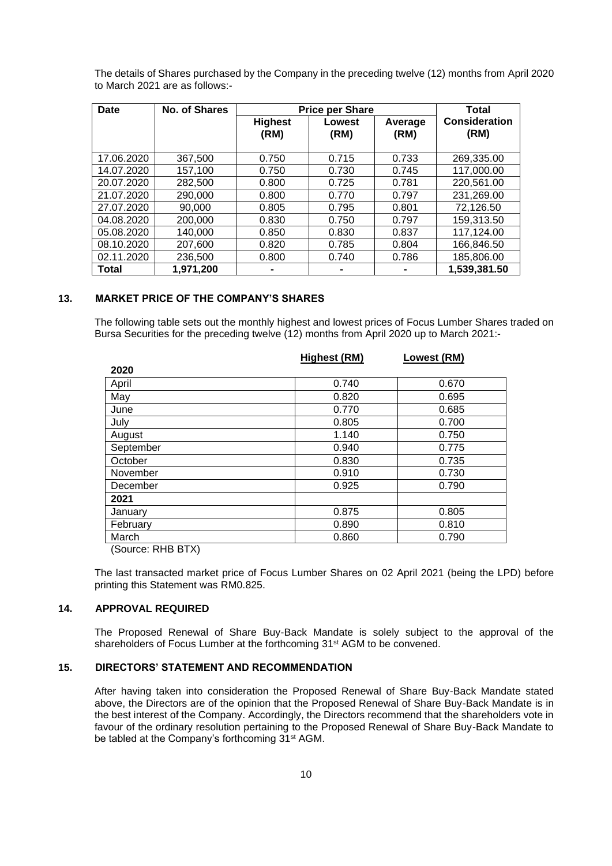| Date         | No. of Shares | <b>Price per Share</b> | Total          |                 |                              |
|--------------|---------------|------------------------|----------------|-----------------|------------------------------|
|              |               | <b>Highest</b><br>(RM) | Lowest<br>(RM) | Average<br>(RM) | <b>Consideration</b><br>(RM) |
| 17.06.2020   | 367,500       | 0.750                  | 0.715          | 0.733           | 269,335.00                   |
| 14.07.2020   | 157,100       | 0.750                  | 0.730          | 0.745           | 117,000.00                   |
| 20.07.2020   | 282,500       | 0.800                  | 0.725          | 0.781           | 220,561.00                   |
| 21.07.2020   | 290,000       | 0.800                  | 0.770          | 0.797           | 231,269.00                   |
| 27.07.2020   | 90,000        | 0.805                  | 0.795          | 0.801           | 72,126.50                    |
| 04.08.2020   | 200,000       | 0.830                  | 0.750          | 0.797           | 159,313.50                   |
| 05.08.2020   | 140,000       | 0.850                  | 0.830          | 0.837           | 117,124.00                   |
| 08.10.2020   | 207,600       | 0.820                  | 0.785          | 0.804           | 166,846.50                   |
| 02.11.2020   | 236,500       | 0.800                  | 0.740          | 0.786           | 185,806.00                   |
| <b>Total</b> | 1,971,200     |                        |                |                 | 1,539,381.50                 |

The details of Shares purchased by the Company in the preceding twelve (12) months from April 2020 to March 2021 are as follows:-

## **13. MARKET PRICE OF THE COMPANY'S SHARES**

The following table sets out the monthly highest and lowest prices of Focus Lumber Shares traded on Bursa Securities for the preceding twelve (12) months from April 2020 up to March 2021:-

|           | Highest (RM) | Lowest (RM) |
|-----------|--------------|-------------|
| 2020      |              |             |
| April     | 0.740        | 0.670       |
| May       | 0.820        | 0.695       |
| June      | 0.770        | 0.685       |
| July      | 0.805        | 0.700       |
| August    | 1.140        | 0.750       |
| September | 0.940        | 0.775       |
| October   | 0.830        | 0.735       |
| November  | 0.910        | 0.730       |
| December  | 0.925        | 0.790       |
| 2021      |              |             |
| January   | 0.875        | 0.805       |
| February  | 0.890        | 0.810       |
| March     | 0.860        | 0.790       |

(Source: RHB BTX)

The last transacted market price of Focus Lumber Shares on 02 April 2021 (being the LPD) before printing this Statement was RM0.825.

#### **14. APPROVAL REQUIRED**

The Proposed Renewal of Share Buy-Back Mandate is solely subject to the approval of the shareholders of Focus Lumber at the forthcoming 31<sup>st</sup> AGM to be convened.

#### **15. DIRECTORS' STATEMENT AND RECOMMENDATION**

After having taken into consideration the Proposed Renewal of Share Buy-Back Mandate stated above, the Directors are of the opinion that the Proposed Renewal of Share Buy-Back Mandate is in the best interest of the Company. Accordingly, the Directors recommend that the shareholders vote in favour of the ordinary resolution pertaining to the Proposed Renewal of Share Buy-Back Mandate to be tabled at the Company's forthcoming 31<sup>st</sup> AGM.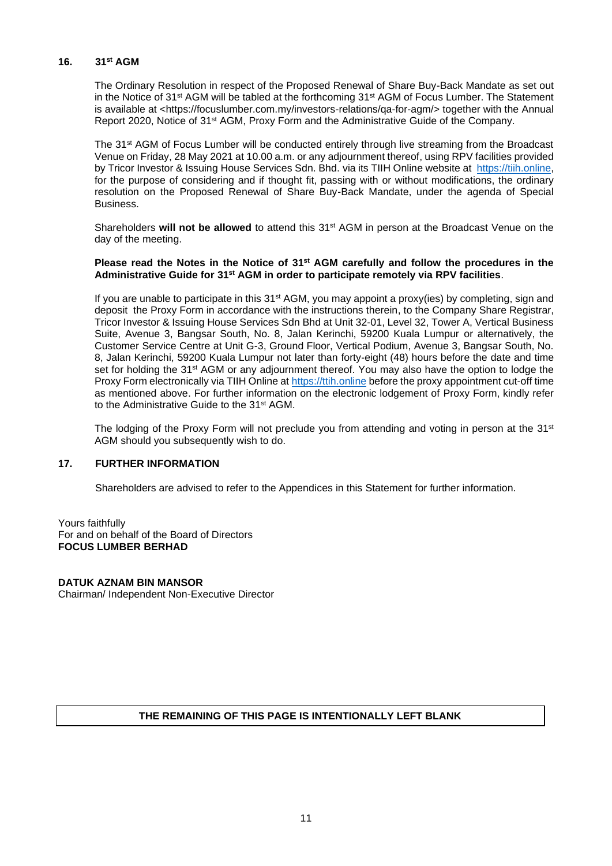#### **16. 31 st AGM**

The Ordinary Resolution in respect of the Proposed Renewal of Share Buy-Back Mandate as set out in the Notice of 31<sup>st</sup> AGM will be tabled at the forthcoming 31<sup>st</sup> AGM of Focus Lumber. The Statement is available at <https://focuslumber.com.my/investors-relations/qa-for-agm/> together with the Annual Report 2020, Notice of 31<sup>st</sup> AGM, Proxy Form and the Administrative Guide of the Company.

The 31<sup>st</sup> AGM of Focus Lumber will be conducted entirely through live streaming from the Broadcast Venue on Friday, 28 May 2021 at 10.00 a.m. or any adjournment thereof, using RPV facilities provided by Tricor Investor & Issuing House Services Sdn. Bhd. via its TIIH Online website at [https://tiih.online,](https://tiih.online/) for the purpose of considering and if thought fit, passing with or without modifications, the ordinary resolution on the Proposed Renewal of Share Buy-Back Mandate, under the agenda of Special **Business** 

Shareholders will not be allowed to attend this 31<sup>st</sup> AGM in person at the Broadcast Venue on the day of the meeting.

#### **Please read the Notes in the Notice of 31st AGM carefully and follow the procedures in the Administrative Guide for 31st AGM in order to participate remotely via RPV facilities**.

If you are unable to participate in this  $31<sup>st</sup> AGM$ , you may appoint a proxy(ies) by completing, sign and deposit the Proxy Form in accordance with the instructions therein, to the Company Share Registrar, Tricor Investor & Issuing House Services Sdn Bhd at Unit 32-01, Level 32, Tower A, Vertical Business Suite, Avenue 3, Bangsar South, No. 8, Jalan Kerinchi, 59200 Kuala Lumpur or alternatively, the Customer Service Centre at Unit G-3, Ground Floor, Vertical Podium, Avenue 3, Bangsar South, No. 8, Jalan Kerinchi, 59200 Kuala Lumpur not later than forty-eight (48) hours before the date and time set for holding the 31<sup>st</sup> AGM or any adjournment thereof. You may also have the option to lodge the Proxy Form electronically via TIIH Online at [https://ttih.online](https://ttih.online/) before the proxy appointment cut-off time as mentioned above. For further information on the electronic lodgement of Proxy Form, kindly refer to the Administrative Guide to the 31<sup>st</sup> AGM.

The lodging of the Proxy Form will not preclude you from attending and voting in person at the 31<sup>st</sup> AGM should you subsequently wish to do.

# **17. FURTHER INFORMATION**

Shareholders are advised to refer to the Appendices in this Statement for further information.

Yours faithfully For and on behalf of the Board of Directors **FOCUS LUMBER BERHAD**

#### **DATUK AZNAM BIN MANSOR**

Chairman/ Independent Non-Executive Director

# **THE REMAINING OF THIS PAGE IS INTENTIONALLY LEFT BLANK**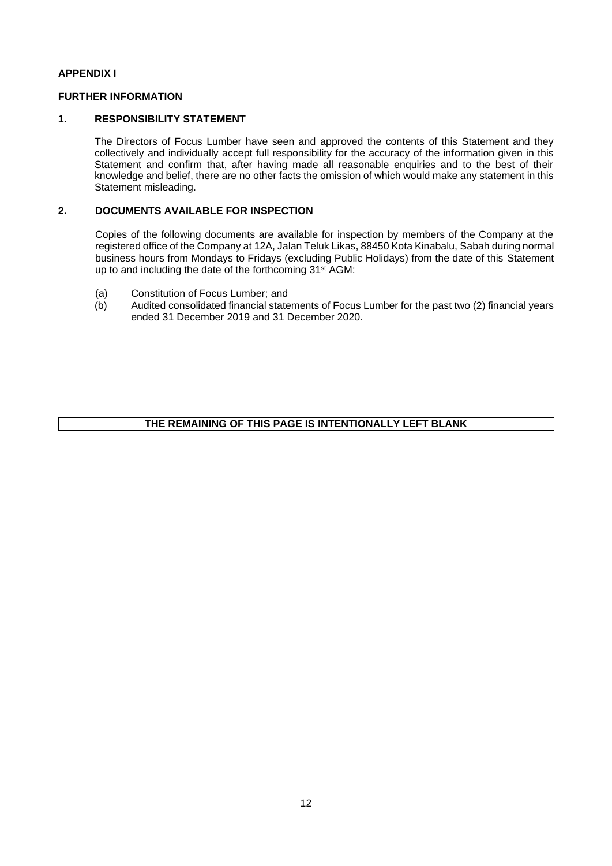# **APPENDIX I**

# **FURTHER INFORMATION**

## **1. RESPONSIBILITY STATEMENT**

The Directors of Focus Lumber have seen and approved the contents of this Statement and they collectively and individually accept full responsibility for the accuracy of the information given in this Statement and confirm that, after having made all reasonable enquiries and to the best of their knowledge and belief, there are no other facts the omission of which would make any statement in this Statement misleading.

# **2. DOCUMENTS AVAILABLE FOR INSPECTION**

Copies of the following documents are available for inspection by members of the Company at the registered office of the Company at 12A, Jalan Teluk Likas, 88450 Kota Kinabalu, Sabah during normal business hours from Mondays to Fridays (excluding Public Holidays) from the date of this Statement up to and including the date of the forthcoming 31<sup>st</sup> AGM:

- (a) Constitution of Focus Lumber; and
- (b) Audited consolidated financial statements of Focus Lumber for the past two (2) financial years ended 31 December 2019 and 31 December 2020.

# **THE REMAINING OF THIS PAGE IS INTENTIONALLY LEFT BLANK**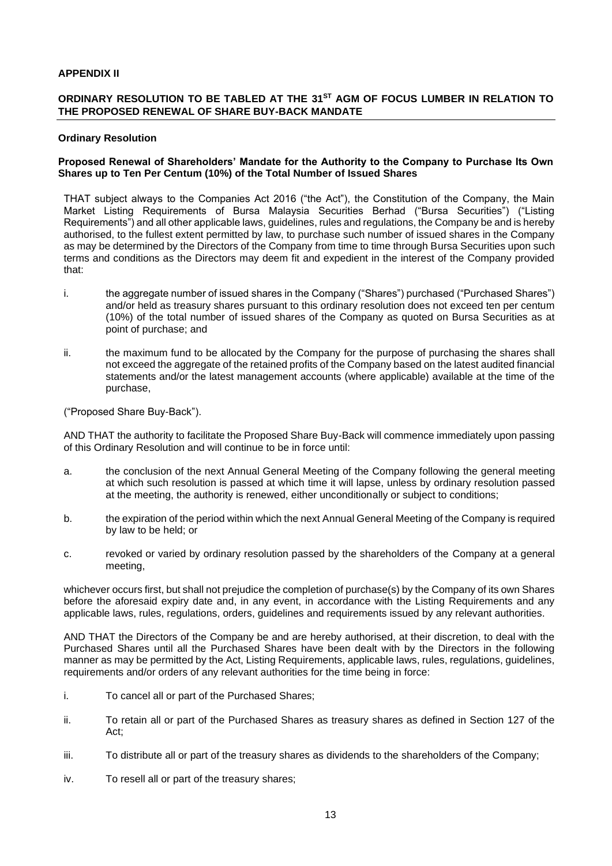# **APPENDIX II**

# **ORDINARY RESOLUTION TO BE TABLED AT THE 31 ST AGM OF FOCUS LUMBER IN RELATION TO THE PROPOSED RENEWAL OF SHARE BUY-BACK MANDATE**

#### **Ordinary Resolution**

#### **Proposed Renewal of Shareholders' Mandate for the Authority to the Company to Purchase Its Own Shares up to Ten Per Centum (10%) of the Total Number of Issued Shares**

THAT subject always to the Companies Act 2016 ("the Act"), the Constitution of the Company, the Main Market Listing Requirements of Bursa Malaysia Securities Berhad ("Bursa Securities") ("Listing Requirements") and all other applicable laws, guidelines, rules and regulations, the Company be and is hereby authorised, to the fullest extent permitted by law, to purchase such number of issued shares in the Company as may be determined by the Directors of the Company from time to time through Bursa Securities upon such terms and conditions as the Directors may deem fit and expedient in the interest of the Company provided that:

- i. the aggregate number of issued shares in the Company ("Shares") purchased ("Purchased Shares") and/or held as treasury shares pursuant to this ordinary resolution does not exceed ten per centum (10%) of the total number of issued shares of the Company as quoted on Bursa Securities as at point of purchase; and
- ii. the maximum fund to be allocated by the Company for the purpose of purchasing the shares shall not exceed the aggregate of the retained profits of the Company based on the latest audited financial statements and/or the latest management accounts (where applicable) available at the time of the purchase,

("Proposed Share Buy-Back").

AND THAT the authority to facilitate the Proposed Share Buy-Back will commence immediately upon passing of this Ordinary Resolution and will continue to be in force until:

- a. the conclusion of the next Annual General Meeting of the Company following the general meeting at which such resolution is passed at which time it will lapse, unless by ordinary resolution passed at the meeting, the authority is renewed, either unconditionally or subject to conditions;
- b. the expiration of the period within which the next Annual General Meeting of the Company is required by law to be held; or
- c. revoked or varied by ordinary resolution passed by the shareholders of the Company at a general meeting,

whichever occurs first, but shall not prejudice the completion of purchase(s) by the Company of its own Shares before the aforesaid expiry date and, in any event, in accordance with the Listing Requirements and any applicable laws, rules, regulations, orders, guidelines and requirements issued by any relevant authorities.

AND THAT the Directors of the Company be and are hereby authorised, at their discretion, to deal with the Purchased Shares until all the Purchased Shares have been dealt with by the Directors in the following manner as may be permitted by the Act, Listing Requirements, applicable laws, rules, regulations, guidelines, requirements and/or orders of any relevant authorities for the time being in force:

- i. To cancel all or part of the Purchased Shares;
- ii. To retain all or part of the Purchased Shares as treasury shares as defined in Section 127 of the Act;
- iii. To distribute all or part of the treasury shares as dividends to the shareholders of the Company;
- iv. To resell all or part of the treasury shares;